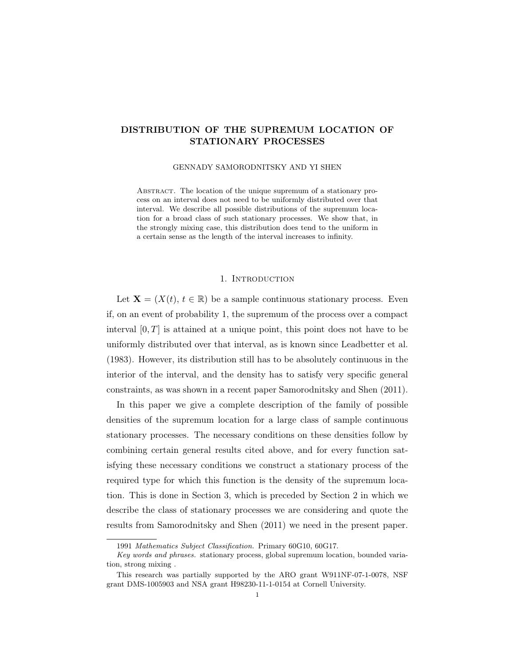# DISTRIBUTION OF THE SUPREMUM LOCATION OF STATIONARY PROCESSES

#### GENNADY SAMORODNITSKY AND YI SHEN

ABSTRACT. The location of the unique supremum of a stationary process on an interval does not need to be uniformly distributed over that interval. We describe all possible distributions of the supremum location for a broad class of such stationary processes. We show that, in the strongly mixing case, this distribution does tend to the uniform in a certain sense as the length of the interval increases to infinity.

#### 1. Introduction

Let  $\mathbf{X} = (X(t), t \in \mathbb{R})$  be a sample continuous stationary process. Even if, on an event of probability 1, the supremum of the process over a compact interval  $[0, T]$  is attained at a unique point, this point does not have to be uniformly distributed over that interval, as is known since Leadbetter et al. (1983). However, its distribution still has to be absolutely continuous in the interior of the interval, and the density has to satisfy very specific general constraints, as was shown in a recent paper Samorodnitsky and Shen (2011).

In this paper we give a complete description of the family of possible densities of the supremum location for a large class of sample continuous stationary processes. The necessary conditions on these densities follow by combining certain general results cited above, and for every function satisfying these necessary conditions we construct a stationary process of the required type for which this function is the density of the supremum location. This is done in Section 3, which is preceded by Section 2 in which we describe the class of stationary processes we are considering and quote the results from Samorodnitsky and Shen (2011) we need in the present paper.

<sup>1991</sup> Mathematics Subject Classification. Primary 60G10, 60G17.

Key words and phrases. stationary process, global supremum location, bounded variation, strong mixing .

This research was partially supported by the ARO grant W911NF-07-1-0078, NSF grant DMS-1005903 and NSA grant H98230-11-1-0154 at Cornell University.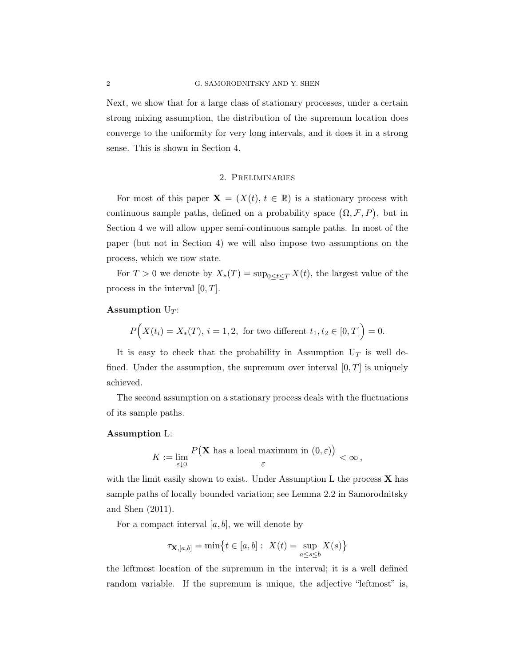Next, we show that for a large class of stationary processes, under a certain strong mixing assumption, the distribution of the supremum location does converge to the uniformity for very long intervals, and it does it in a strong sense. This is shown in Section 4.

## 2. Preliminaries

For most of this paper  $\mathbf{X} = (X(t), t \in \mathbb{R})$  is a stationary process with continuous sample paths, defined on a probability space  $(\Omega, \mathcal{F}, P)$ , but in Section 4 we will allow upper semi-continuous sample paths. In most of the paper (but not in Section 4) we will also impose two assumptions on the process, which we now state.

For  $T > 0$  we denote by  $X_*(T) = \sup_{0 \le t \le T} X(t)$ , the largest value of the process in the interval  $[0, T]$ .

# Assumption  $U_T$ :

$$
P(X(t_i) = X_*(T), i = 1, 2, \text{ for two different } t_1, t_2 \in [0, T] = 0.
$$

It is easy to check that the probability in Assumption  $U_T$  is well defined. Under the assumption, the supremum over interval  $[0, T]$  is uniquely achieved.

The second assumption on a stationary process deals with the fluctuations of its sample paths.

#### Assumption L:

$$
K := \lim_{\varepsilon \downarrow 0} \frac{P(\mathbf{X} \text{ has a local maximum in } (0, \varepsilon))}{\varepsilon} < \infty \,,
$$

with the limit easily shown to exist. Under Assumption L the process  $\bf{X}$  has sample paths of locally bounded variation; see Lemma 2.2 in Samorodnitsky and Shen (2011).

For a compact interval  $[a, b]$ , we will denote by

$$
\tau_{\mathbf{X},[a,b]} = \min \bigl\{ t \in [a,b]: \ X(t) = \sup_{a \le s \le b} X(s) \bigr\}
$$

the leftmost location of the supremum in the interval; it is a well defined random variable. If the supremum is unique, the adjective "leftmost" is,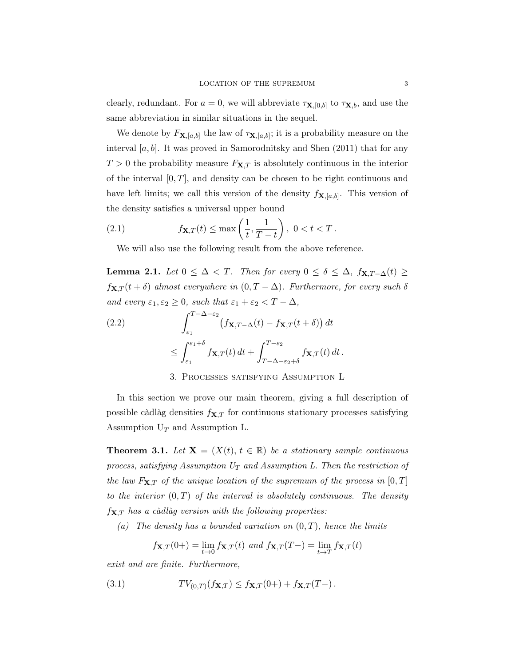clearly, redundant. For  $a = 0$ , we will abbreviate  $\tau_{\mathbf{X},[0,b]}$  to  $\tau_{\mathbf{X},b}$ , and use the same abbreviation in similar situations in the sequel.

We denote by  $F_{\mathbf{X},[a,b]}$  the law of  $\tau_{\mathbf{X},[a,b]}$ ; it is a probability measure on the interval  $[a, b]$ . It was proved in Samorodnitsky and Shen  $(2011)$  that for any  $T > 0$  the probability measure  $F_{\mathbf{X},T}$  is absolutely continuous in the interior of the interval  $[0, T]$ , and density can be chosen to be right continuous and have left limits; we call this version of the density  $f_{\mathbf{X},[a,b]}$ . This version of the density satisfies a universal upper bound

(2.1) 
$$
f_{\mathbf{X},T}(t) \le \max\left(\frac{1}{t}, \frac{1}{T-t}\right), 0 < t < T.
$$

We will also use the following result from the above reference.

**Lemma 2.1.** Let  $0 \leq \Delta < T$ . Then for every  $0 \leq \delta \leq \Delta$ ,  $f_{\mathbf{X},T-\Delta}(t) \geq$  $f_{\mathbf{X},T}(t+\delta)$  almost everywhere in  $(0,T-\Delta)$ . Furthermore, for every such  $\delta$ and every  $\varepsilon_1, \varepsilon_2 \geq 0$ , such that  $\varepsilon_1 + \varepsilon_2 < T - \Delta$ ,

(2.2) 
$$
\int_{\varepsilon_1}^{T-\Delta-\varepsilon_2} (f_{\mathbf{X},T-\Delta}(t) - f_{\mathbf{X},T}(t+\delta)) dt
$$

$$
\leq \int_{\varepsilon_1}^{\varepsilon_1+\delta} f_{\mathbf{X},T}(t) dt + \int_{T-\Delta-\varepsilon_2+\delta}^{T-\varepsilon_2} f_{\mathbf{X},T}(t) dt.
$$

# 3. Processes satisfying Assumption L

In this section we prove our main theorem, giving a full description of possible càdlàg densities  $f_{\mathbf{X},T}$  for continuous stationary processes satisfying Assumption  $U_T$  and Assumption L.

**Theorem 3.1.** Let  $X = (X(t), t \in \mathbb{R})$  be a stationary sample continuous process, satisfying Assumption  $U_T$  and Assumption L. Then the restriction of the law  $F_{\mathbf{X},T}$  of the unique location of the supremum of the process in  $[0, T]$ to the interior  $(0, T)$  of the interval is absolutely continuous. The density  $f_{\mathbf{X},T}$  has a càdlàg version with the following properties:

(a) The density has a bounded variation on  $(0, T)$ , hence the limits

$$
f_{\mathbf{X},T}(0+) = \lim_{t \to 0} f_{\mathbf{X},T}(t)
$$
 and  $f_{\mathbf{X},T}(T-) = \lim_{t \to T} f_{\mathbf{X},T}(t)$ 

exist and are finite. Furthermore,

(3.1) 
$$
TV_{(0,T)}(f_{\mathbf{X},T}) \le f_{\mathbf{X},T}(0+) + f_{\mathbf{X},T}(T-).
$$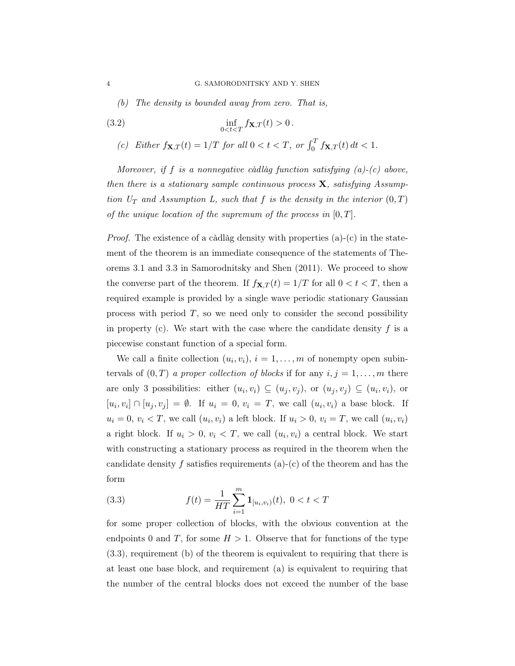(b) The density is bounded away from zero. That is,

(3.2) 
$$
\inf_{0 < t < T} f_{\mathbf{X}, T}(t) > 0.
$$

(c) Either  $f_{\mathbf{X},T}(t) = 1/T$  for all  $0 < t < T$ , or  $\int_0^T f_{\mathbf{X},T}(t) dt < 1$ .

Moreover, if f is a nonnegative càdlàg function satisfying  $(a)-(c)$  above, then there is a stationary sample continuous process  $X$ , satisfying Assumption  $U_T$  and Assumption L, such that f is the density in the interior  $(0,T)$ of the unique location of the supremum of the process in  $[0, T]$ .

*Proof.* The existence of a càdlàg density with properties  $(a)-(c)$  in the statement of the theorem is an immediate consequence of the statements of Theorems 3.1 and 3.3 in Samorodnitsky and Shen (2011). We proceed to show the converse part of the theorem. If  $f_{\mathbf{X},T}(t) = 1/T$  for all  $0 < t < T$ , then a required example is provided by a single wave periodic stationary Gaussian process with period  $T$ , so we need only to consider the second possibility in property (c). We start with the case where the candidate density  $f$  is a piecewise constant function of a special form.

We call a finite collection  $(u_i, v_i)$ ,  $i = 1, ..., m$  of nonempty open subintervals of  $(0, T)$  a proper collection of blocks if for any  $i, j = 1, \ldots, m$  there are only 3 possibilities: either  $(u_i, v_i) \subseteq (u_j, v_j)$ , or  $(u_j, v_j) \subseteq (u_i, v_i)$ , or  $[u_i, v_i] \cap [u_j, v_j] = \emptyset$ . If  $u_i = 0, v_i = T$ , we call  $(u_i, v_i)$  a base block. If  $u_i = 0, v_i < T$ , we call  $(u_i, v_i)$  a left block. If  $u_i > 0, v_i = T$ , we call  $(u_i, v_i)$ a right block. If  $u_i > 0$ ,  $v_i < T$ , we call  $(u_i, v_i)$  a central block. We start with constructing a stationary process as required in the theorem when the candidate density f satisfies requirements  $(a)-(c)$  of the theorem and has the form

(3.3) 
$$
f(t) = \frac{1}{HT} \sum_{i=1}^{m} \mathbf{1}_{[u_i, v_i)}(t), \ 0 < t < T
$$

for some proper collection of blocks, with the obvious convention at the endpoints 0 and T, for some  $H > 1$ . Observe that for functions of the type (3.3), requirement (b) of the theorem is equivalent to requiring that there is at least one base block, and requirement (a) is equivalent to requiring that the number of the central blocks does not exceed the number of the base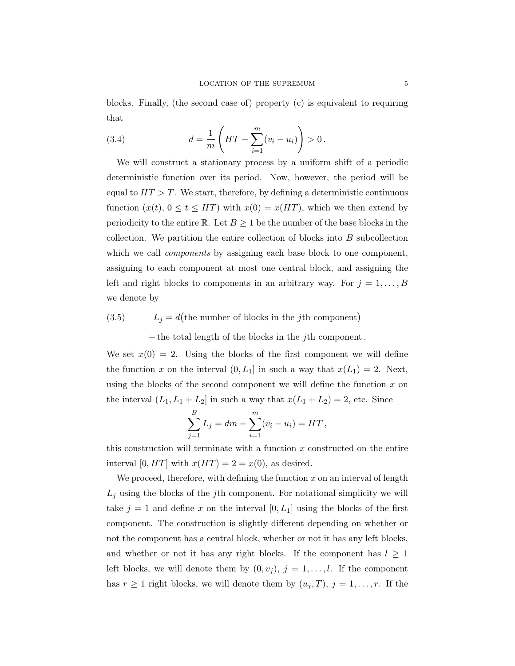blocks. Finally, (the second case of) property (c) is equivalent to requiring that

(3.4) 
$$
d = \frac{1}{m} \left( HT - \sum_{i=1}^{m} (v_i - u_i) \right) > 0.
$$

We will construct a stationary process by a uniform shift of a periodic deterministic function over its period. Now, however, the period will be equal to  $HT > T$ . We start, therefore, by defining a deterministic continuous function  $(x(t), 0 \le t \le HT)$  with  $x(0) = x(HT)$ , which we then extend by periodicity to the entire R. Let  $B \geq 1$  be the number of the base blocks in the collection. We partition the entire collection of blocks into  $B$  subcollection which we call *components* by assigning each base block to one component, assigning to each component at most one central block, and assigning the left and right blocks to components in an arbitrary way. For  $j = 1, \ldots, B$ we denote by

# (3.5)  $L_j = d$ (the number of blocks in the *j*th component)

 $+$  the total length of the blocks in the j<sup>th</sup> component.

We set  $x(0) = 2$ . Using the blocks of the first component we will define the function x on the interval  $(0, L_1]$  in such a way that  $x(L_1) = 2$ . Next, using the blocks of the second component we will define the function  $x$  on the interval  $(L_1, L_1 + L_2]$  in such a way that  $x(L_1 + L_2) = 2$ , etc. Since

$$
\sum_{j=1}^{B} L_j = dm + \sum_{i=1}^{m} (v_i - u_i) = HT,
$$

this construction will terminate with a function  $x$  constructed on the entire interval [0, HT] with  $x(HT) = 2 = x(0)$ , as desired.

We proceed, therefore, with defining the function  $x$  on an interval of length  $L_j$  using the blocks of the j<sup>th</sup> component. For notational simplicity we will take  $j = 1$  and define x on the interval  $[0, L_1]$  using the blocks of the first component. The construction is slightly different depending on whether or not the component has a central block, whether or not it has any left blocks, and whether or not it has any right blocks. If the component has  $l \geq 1$ left blocks, we will denote them by  $(0, v_j)$ ,  $j = 1, \ldots, l$ . If the component has  $r \geq 1$  right blocks, we will denote them by  $(u_j, T), j = 1, \ldots, r$ . If the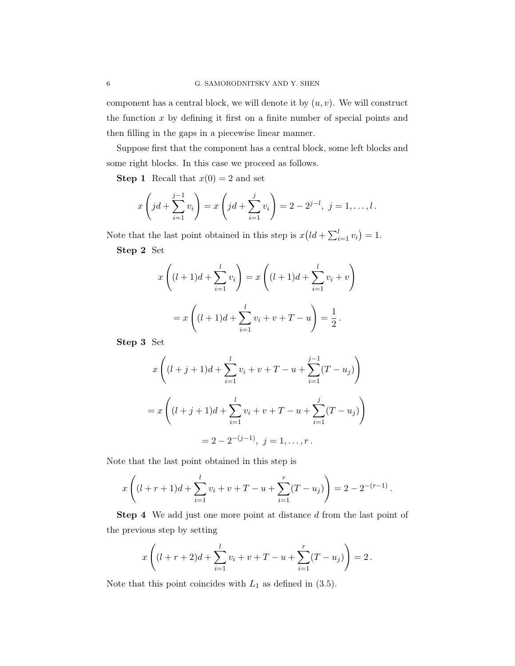component has a central block, we will denote it by  $(u, v)$ . We will construct the function  $x$  by defining it first on a finite number of special points and then filling in the gaps in a piecewise linear manner.

Suppose first that the component has a central block, some left blocks and some right blocks. In this case we proceed as follows.

**Step 1** Recall that  $x(0) = 2$  and set

$$
x\left(jd + \sum_{i=1}^{j-1} v_i\right) = x\left(jd + \sum_{i=1}^{j} v_i\right) = 2 - 2^{j-l}, \ j = 1, \dots, l.
$$

Note that the last point obtained in this step is  $x\left(1d + \sum_{i=1}^{l} v_i\right) = 1$ . Step 2 Set

$$
x\left((l+1)d + \sum_{i=1}^{l} v_i\right) = x\left((l+1)d + \sum_{i=1}^{l} v_i + v\right)
$$

$$
= x\left((l+1)d + \sum_{i=1}^{l} v_i + v + T - u\right) = \frac{1}{2}.
$$

Step 3 Set

$$
x\left((l+j+1)d+\sum_{i=1}^{l}v_i+v+T-u+\sum_{i=1}^{j-1}(T-u_j)\right)
$$
  
=  $x\left((l+j+1)d+\sum_{i=1}^{l}v_i+v+T-u+\sum_{i=1}^{j}(T-u_j)\right)$   
=  $2-2^{-(j-1)}, j=1,\ldots,r.$ 

Note that the last point obtained in this step is

$$
x\left((l+r+1)d+\sum_{i=1}^{l}v_i+v+T-u+\sum_{i=1}^{r}(T-u_j)\right)=2-2^{-(r-1)}.
$$

Step 4 We add just one more point at distance d from the last point of the previous step by setting

$$
x\left((l+r+2)d+\sum_{i=1}^{l}v_{i}+v+T-u+\sum_{i=1}^{r}(T-u_{j})\right)=2.
$$

Note that this point coincides with  $L_1$  as defined in  $(3.5)$ .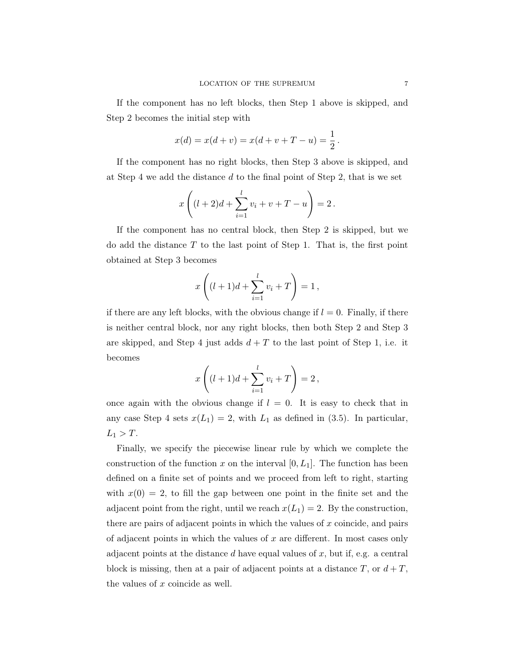If the component has no left blocks, then Step 1 above is skipped, and Step 2 becomes the initial step with

$$
x(d) = x(d + v) = x(d + v + T - u) = \frac{1}{2}.
$$

If the component has no right blocks, then Step 3 above is skipped, and at Step 4 we add the distance d to the final point of Step 2, that is we set

$$
x\left((l+2)d + \sum_{i=1}^{l} v_i + v + T - u\right) = 2.
$$

If the component has no central block, then Step 2 is skipped, but we do add the distance  $T$  to the last point of Step 1. That is, the first point obtained at Step 3 becomes

$$
x\left((l+1)d+\sum_{i=1}^{l}v_i+T\right)=1,
$$

if there are any left blocks, with the obvious change if  $l = 0$ . Finally, if there is neither central block, nor any right blocks, then both Step 2 and Step 3 are skipped, and Step 4 just adds  $d + T$  to the last point of Step 1, i.e. it becomes

$$
x\left((l+1)d+\sum_{i=1}^{l}v_i+T\right)=2\,
$$

once again with the obvious change if  $l = 0$ . It is easy to check that in any case Step 4 sets  $x(L_1) = 2$ , with  $L_1$  as defined in (3.5). In particular,  $L_1 > T$ .

Finally, we specify the piecewise linear rule by which we complete the construction of the function x on the interval  $[0, L_1]$ . The function has been defined on a finite set of points and we proceed from left to right, starting with  $x(0) = 2$ , to fill the gap between one point in the finite set and the adjacent point from the right, until we reach  $x(L_1) = 2$ . By the construction, there are pairs of adjacent points in which the values of  $x$  coincide, and pairs of adjacent points in which the values of x are different. In most cases only adjacent points at the distance  $d$  have equal values of  $x$ , but if, e.g. a central block is missing, then at a pair of adjacent points at a distance  $T$ , or  $d+T$ , the values of x coincide as well.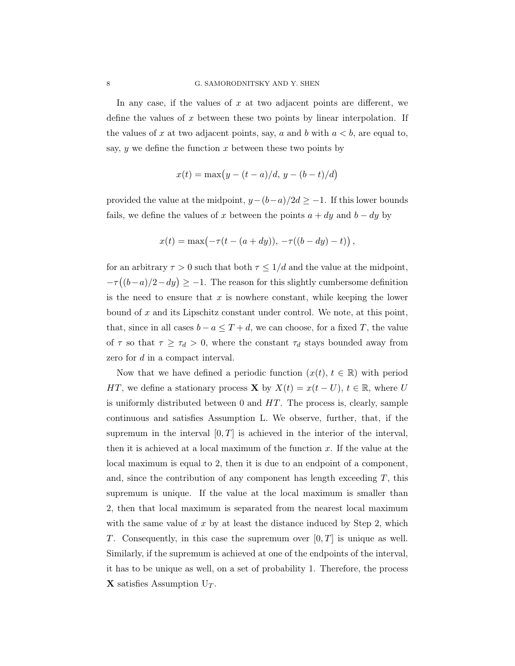In any case, if the values of  $x$  at two adjacent points are different, we define the values of  $x$  between these two points by linear interpolation. If the values of x at two adjacent points, say, a and b with  $a < b$ , are equal to, say,  $y$  we define the function  $x$  between these two points by

$$
x(t) = \max(y - (t - a)/d, y - (b - t)/d)
$$

provided the value at the midpoint,  $y-(b-a)/2d \ge -1$ . If this lower bounds fails, we define the values of x between the points  $a + dy$  and  $b - dy$  by

$$
x(t) = \max(-\tau(t - (a + dy)), -\tau((b - dy) - t)),
$$

for an arbitrary  $\tau > 0$  such that both  $\tau \leq 1/d$  and the value at the midpoint,  $-\tau((b-a)/2-dy) \geq -1$ . The reason for this slightly cumbersome definition is the need to ensure that  $x$  is nowhere constant, while keeping the lower bound of x and its Lipschitz constant under control. We note, at this point, that, since in all cases  $b - a \leq T + d$ , we can choose, for a fixed T, the value of  $\tau$  so that  $\tau \geq \tau_d > 0$ , where the constant  $\tau_d$  stays bounded away from zero for d in a compact interval.

Now that we have defined a periodic function  $(x(t), t \in \mathbb{R})$  with period HT, we define a stationary process **X** by  $X(t) = x(t-U)$ ,  $t \in \mathbb{R}$ , where U is uniformly distributed between  $0$  and  $HT$ . The process is, clearly, sample continuous and satisfies Assumption L. We observe, further, that, if the supremum in the interval  $[0, T]$  is achieved in the interior of the interval, then it is achieved at a local maximum of the function  $x$ . If the value at the local maximum is equal to 2, then it is due to an endpoint of a component, and, since the contribution of any component has length exceeding  $T$ , this supremum is unique. If the value at the local maximum is smaller than 2, then that local maximum is separated from the nearest local maximum with the same value of x by at least the distance induced by Step 2, which T. Consequently, in this case the supremum over  $[0, T]$  is unique as well. Similarly, if the supremum is achieved at one of the endpoints of the interval, it has to be unique as well, on a set of probability 1. Therefore, the process **X** satisfies Assumption  $U_T$ .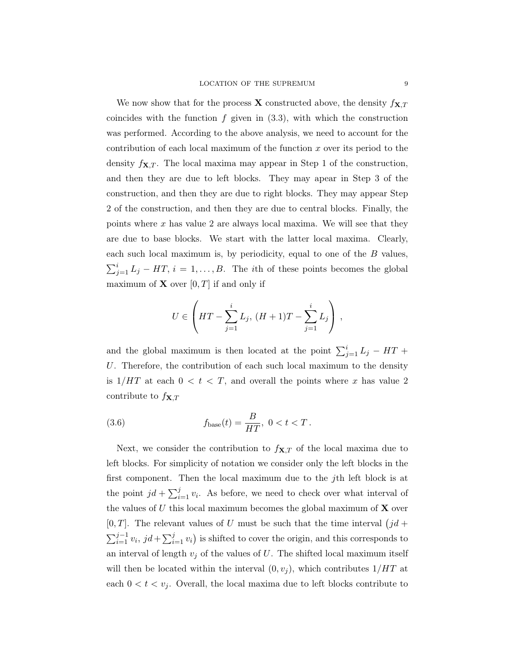We now show that for the process **X** constructed above, the density  $f_{\mathbf{X},T}$ coincides with the function  $f$  given in  $(3.3)$ , with which the construction was performed. According to the above analysis, we need to account for the contribution of each local maximum of the function x over its period to the density  $f_{\mathbf{X},T}$ . The local maxima may appear in Step 1 of the construction, and then they are due to left blocks. They may apear in Step 3 of the construction, and then they are due to right blocks. They may appear Step 2 of the construction, and then they are due to central blocks. Finally, the points where  $x$  has value 2 are always local maxima. We will see that they are due to base blocks. We start with the latter local maxima. Clearly, each such local maximum is, by periodicity, equal to one of the B values,  $\sum_{j=1}^{i} L_j - HT, i = 1, \ldots, B$ . The *i*th of these points becomes the global maximum of **X** over  $[0, T]$  if and only if

$$
U \in \left( HT - \sum_{j=1}^{i} L_j, (H + 1)T - \sum_{j=1}^{i} L_j \right),
$$

and the global maximum is then located at the point  $\sum_{j=1}^{i} L_j - HT +$ U. Therefore, the contribution of each such local maximum to the density is  $1/HT$  at each  $0 < t < T$ , and overall the points where x has value 2 contribute to  $f_{\mathbf{X},T}$ 

(3.6) 
$$
f_{\text{base}}(t) = \frac{B}{HT}, \ 0 < t < T.
$$

Next, we consider the contribution to  $f_{\mathbf{X},T}$  of the local maxima due to left blocks. For simplicity of notation we consider only the left blocks in the first component. Then the local maximum due to the jth left block is at the point  $jd + \sum_{i=1}^{j} v_i$ . As before, we need to check over what interval of the values of  $U$  this local maximum becomes the global maximum of  $X$  over [0, T]. The relevant values of U must be such that the time interval  $(jd +$  $\sum_{i=1}^{j-1} v_i$ ,  $jd + \sum_{i=1}^{j} v_i$  is shifted to cover the origin, and this corresponds to an interval of length  $v_j$  of the values of U. The shifted local maximum itself will then be located within the interval  $(0, v_i)$ , which contributes  $1/HT$  at each  $0 < t < v_j$ . Overall, the local maxima due to left blocks contribute to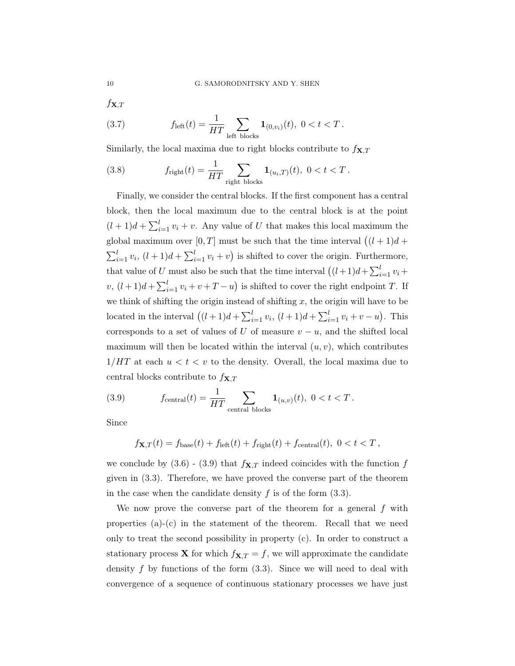$f_{\mathbf{X},T}$ 

(3.7) 
$$
f_{\text{left}}(t) = \frac{1}{HT} \sum_{\text{left blocks}} \mathbf{1}_{(0,v_i)}(t), \ 0 < t < T.
$$

Similarly, the local maxima due to right blocks contribute to  $f_{\mathbf{X},T}$ 

(3.8) 
$$
f_{\text{right}}(t) = \frac{1}{HT} \sum_{\text{right blocks}} \mathbf{1}_{(u_i,T)}(t), \ 0 < t < T.
$$

Finally, we consider the central blocks. If the first component has a central block, then the local maximum due to the central block is at the point  $(l+1)d+\sum_{i=1}^{l}v_i+v.$  Any value of U that makes this local maximum the global maximum over [0, T] must be such that the time interval  $((l + 1)d +$  $\sum_{i=1}^{l} v_i$ ,  $(l+1)d + \sum_{i=1}^{l} v_i + v$  is shifted to cover the origin. Furthermore, that value of U must also be such that the time interval  $((l+1)d+\sum_{i=1}^{l} v_i +$  $v, (l+1)d + \sum_{i=1}^{l} v_i + v + T - u$  is shifted to cover the right endpoint T. If we think of shifting the origin instead of shifting  $x$ , the origin will have to be located in the interval  $((l + 1)d + \sum_{i=1}^{l} v_i, (l + 1)d + \sum_{i=1}^{l} v_i + v - u)$ . This corresponds to a set of values of U of measure  $v - u$ , and the shifted local maximum will then be located within the interval  $(u, v)$ , which contributes  $1/HT$  at each  $u < t < v$  to the density. Overall, the local maxima due to central blocks contribute to  $f_{\mathbf{X},T}$ 

(3.9) 
$$
f_{\text{central}}(t) = \frac{1}{HT} \sum_{\text{central blocks}} \mathbf{1}_{(u,v)}(t), \ 0 < t < T.
$$

Since

$$
f_{\mathbf{X},T}(t) = f_{\text{base}}(t) + f_{\text{left}}(t) + f_{\text{right}}(t) + f_{\text{central}}(t), \ 0 < t < T,
$$

we conclude by  $(3.6)$  -  $(3.9)$  that  $f_{\mathbf{X},T}$  indeed coincides with the function f given in (3.3). Therefore, we have proved the converse part of the theorem in the case when the candidate density  $f$  is of the form  $(3.3)$ .

We now prove the converse part of the theorem for a general  $f$  with properties  $(a)-(c)$  in the statement of the theorem. Recall that we need only to treat the second possibility in property (c). In order to construct a stationary process **X** for which  $f_{\mathbf{X},T} = f$ , we will approximate the candidate density  $f$  by functions of the form  $(3.3)$ . Since we will need to deal with convergence of a sequence of continuous stationary processes we have just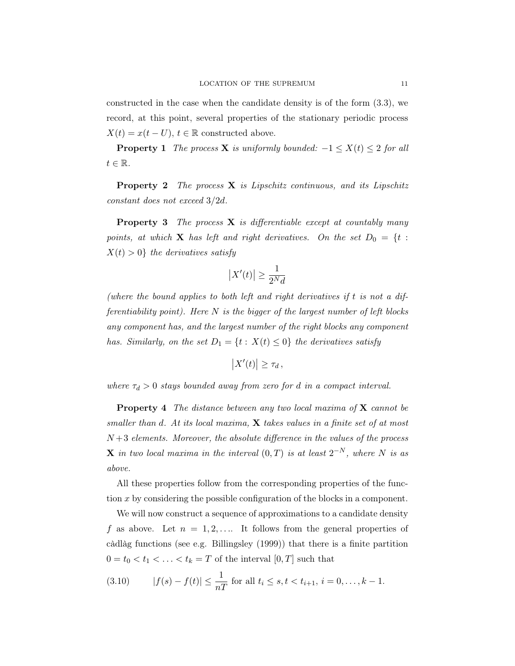constructed in the case when the candidate density is of the form (3.3), we record, at this point, several properties of the stationary periodic process  $X(t) = x(t-U), t \in \mathbb{R}$  constructed above.

**Property 1** The process **X** is uniformly bounded:  $-1 \le X(t) \le 2$  for all  $t \in \mathbb{R}$ .

**Property 2** The process **X** is Lipschitz continuous, and its Lipschitz constant does not exceed 3/2d.

**Property 3** The process  $X$  is differentiable except at countably many points, at which **X** has left and right derivatives. On the set  $D_0 = \{t :$  $X(t) > 0$  the derivatives satisfy

$$
\left|X'(t)\right|\geq \frac{1}{2^N d}
$$

(where the bound applies to both left and right derivatives if t is not a differentiability point). Here  $N$  is the bigger of the largest number of left blocks any component has, and the largest number of the right blocks any component has. Similarly, on the set  $D_1 = \{t : X(t) \leq 0\}$  the derivatives satisfy

$$
\left|X'(t)\right| \geq \tau_d,
$$

where  $\tau_d > 0$  stays bounded away from zero for d in a compact interval.

**Property 4** The distance between any two local maxima of  $X$  cannot be smaller than d. At its local maxima,  $X$  takes values in a finite set of at most  $N+3$  elements. Moreover, the absolute difference in the values of the process **X** in two local maxima in the interval  $(0,T)$  is at least  $2^{-N}$ , where N is as above.

All these properties follow from the corresponding properties of the function x by considering the possible configuration of the blocks in a component.

We will now construct a sequence of approximations to a candidate density f as above. Let  $n = 1, 2, \ldots$  It follows from the general properties of càdlàg functions (see e.g. Billingsley (1999)) that there is a finite partition  $0 = t_0 < t_1 < \ldots < t_k = T$  of the interval  $[0,T]$  such that

(3.10) 
$$
|f(s) - f(t)| \le \frac{1}{nT}
$$
 for all  $t_i \le s, t < t_{i+1}, i = 0, ..., k - 1$ .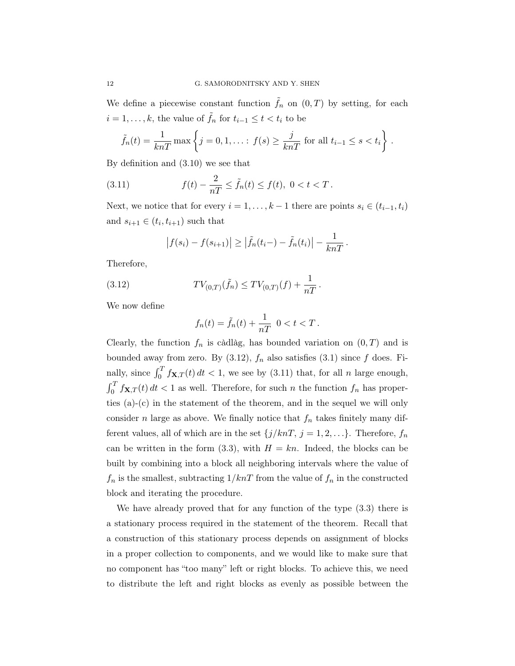We define a piecewise constant function  $\tilde{f}_n$  on  $(0,T)$  by setting, for each  $i = 1, \ldots, k$ , the value of  $\tilde{f}_n$  for  $t_{i-1} \leq t < t_i$  to be

$$
\tilde{f}_n(t) = \frac{1}{knT} \max \left\{ j = 0, 1, \dots : f(s) \ge \frac{j}{knT} \text{ for all } t_{i-1} \le s < t_i \right\}.
$$

By definition and (3.10) we see that

(3.11) 
$$
f(t) - \frac{2}{nT} \le \tilde{f}_n(t) \le f(t), \ 0 < t < T.
$$

Next, we notice that for every  $i = 1, \ldots, k - 1$  there are points  $s_i \in (t_{i-1}, t_i)$ and  $s_{i+1} \in (t_i, t_{i+1})$  such that

$$
|f(s_i) - f(s_{i+1})| \geq |\tilde{f}_n(t_i) - \tilde{f}_n(t_i)| - \frac{1}{knT}.
$$

Therefore,

(3.12) 
$$
TV_{(0,T)}(\tilde{f}_n) \leq TV_{(0,T)}(f) + \frac{1}{nT}.
$$

We now define

$$
f_n(t) = \tilde{f}_n(t) + \frac{1}{nT} \quad 0 < t < T
$$
.

Clearly, the function  $f_n$  is càdlàg, has bounded variation on  $(0, T)$  and is bounded away from zero. By  $(3.12)$ ,  $f_n$  also satisfies  $(3.1)$  since f does. Finally, since  $\int_0^T f_{\mathbf{X},T}(t) dt < 1$ , we see by (3.11) that, for all *n* large enough,  $\int_0^T f_{\mathbf{X},T}(t) dt < 1$  as well. Therefore, for such n the function  $f_n$  has properties (a)-(c) in the statement of the theorem, and in the sequel we will only consider n large as above. We finally notice that  $f_n$  takes finitely many different values, all of which are in the set  ${j/knT, j = 1, 2, ...}$ . Therefore,  $f_n$ can be written in the form (3.3), with  $H = kn$ . Indeed, the blocks can be built by combining into a block all neighboring intervals where the value of  $f_n$  is the smallest, subtracting  $1/knT$  from the value of  $f_n$  in the constructed block and iterating the procedure.

We have already proved that for any function of the type (3.3) there is a stationary process required in the statement of the theorem. Recall that a construction of this stationary process depends on assignment of blocks in a proper collection to components, and we would like to make sure that no component has "too many" left or right blocks. To achieve this, we need to distribute the left and right blocks as evenly as possible between the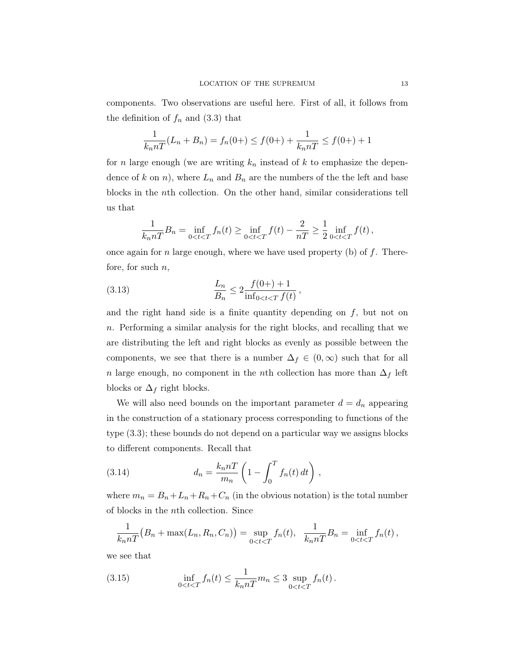components. Two observations are useful here. First of all, it follows from the definition of  $f_n$  and (3.3) that

$$
\frac{1}{k_n nT}(L_n + B_n) = f_n(0+) \le f(0+) + \frac{1}{k_n nT} \le f(0+) + 1
$$

for n large enough (we are writing  $k_n$  instead of k to emphasize the dependence of k on n), where  $L_n$  and  $B_n$  are the numbers of the the left and base blocks in the nth collection. On the other hand, similar considerations tell us that

$$
\frac{1}{k_n nT} B_n = \inf_{0 < t < T} f_n(t) \ge \inf_{0 < t < T} f(t) - \frac{2}{nT} \ge \frac{1}{2} \inf_{0 < t < T} f(t) \,,
$$

once again for n large enough, where we have used property (b) of  $f$ . Therefore, for such  $n$ ,

(3.13) 
$$
\frac{L_n}{B_n} \le 2 \frac{f(0+)+1}{\inf_{0
$$

and the right hand side is a finite quantity depending on  $f$ , but not on n. Performing a similar analysis for the right blocks, and recalling that we are distributing the left and right blocks as evenly as possible between the components, we see that there is a number  $\Delta_f \in (0, \infty)$  such that for all n large enough, no component in the nth collection has more than  $\Delta_f$  left blocks or  $\Delta_f$  right blocks.

We will also need bounds on the important parameter  $d = d_n$  appearing in the construction of a stationary process corresponding to functions of the type (3.3); these bounds do not depend on a particular way we assigns blocks to different components. Recall that

(3.14) 
$$
d_n = \frac{k_n nT}{m_n} \left( 1 - \int_0^T f_n(t) \, dt \right),
$$

where  $m_n = B_n + L_n + R_n + C_n$  (in the obvious notation) is the total number of blocks in the nth collection. Since

$$
\frac{1}{k_n n T} (B_n + \max(L_n, R_n, C_n)) = \sup_{0 < t < T} f_n(t), \quad \frac{1}{k_n n T} B_n = \inf_{0 < t < T} f_n(t),
$$

we see that

(3.15) 
$$
\inf_{0 < t < T} f_n(t) \leq \frac{1}{k_n nT} m_n \leq 3 \sup_{0 < t < T} f_n(t).
$$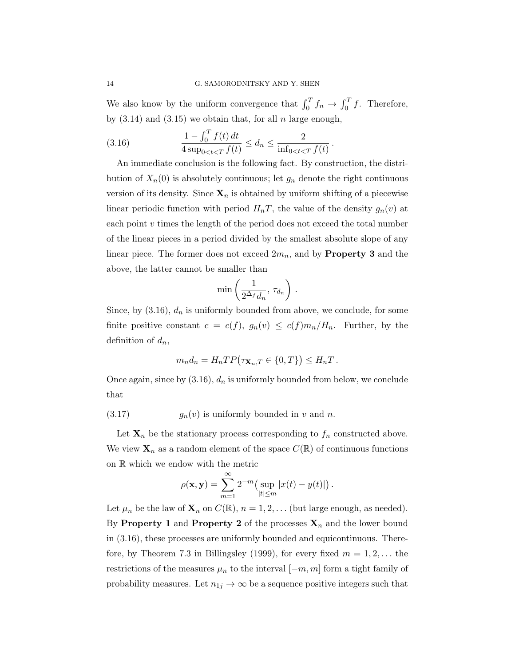We also know by the uniform convergence that  $\int_0^T f_n \to \int_0^T f$ . Therefore, by  $(3.14)$  and  $(3.15)$  we obtain that, for all n large enough,

(3.16) 
$$
\frac{1 - \int_0^T f(t) dt}{4 \sup_{0 \le t \le T} f(t)} \le d_n \le \frac{2}{\inf_{0 \le t \le T} f(t)}.
$$

An immediate conclusion is the following fact. By construction, the distribution of  $X_n(0)$  is absolutely continuous; let  $g_n$  denote the right continuous version of its density. Since  $\mathbf{X}_n$  is obtained by uniform shifting of a piecewise linear periodic function with period  $H_nT$ , the value of the density  $g_n(v)$  at each point  $v$  times the length of the period does not exceed the total number of the linear pieces in a period divided by the smallest absolute slope of any linear piece. The former does not exceed  $2m_n$ , and by **Property 3** and the above, the latter cannot be smaller than

$$
\min\left(\frac{1}{2^{\Delta_f}d_n}, \tau_{d_n}\right).
$$

Since, by  $(3.16)$ ,  $d_n$  is uniformly bounded from above, we conclude, for some finite positive constant  $c = c(f)$ ,  $g_n(v) \leq c(f)m_n/H_n$ . Further, by the definition of  $d_n$ ,

$$
m_n d_n = H_n T P(\tau_{\mathbf{X}_n,T} \in \{0,T\}) \le H_n T.
$$

Once again, since by  $(3.16)$ ,  $d_n$  is uniformly bounded from below, we conclude that

(3.17) 
$$
g_n(v) \text{ is uniformly bounded in } v \text{ and } n.
$$

Let  $\mathbf{X}_n$  be the stationary process corresponding to  $f_n$  constructed above. We view  $\mathbf{X}_n$  as a random element of the space  $C(\mathbb{R})$  of continuous functions on R which we endow with the metric

$$
\rho(\mathbf{x}, \mathbf{y}) = \sum_{m=1}^{\infty} 2^{-m} \left( \sup_{|t| \le m} |x(t) - y(t)| \right).
$$

Let  $\mu_n$  be the law of  $\mathbf{X}_n$  on  $C(\mathbb{R})$ ,  $n = 1, 2, \dots$  (but large enough, as needed). By Property 1 and Property 2 of the processes  $\mathbf{X}_n$  and the lower bound in (3.16), these processes are uniformly bounded and equicontinuous. Therefore, by Theorem 7.3 in Billingsley (1999), for every fixed  $m = 1, 2, \ldots$  the restrictions of the measures  $\mu_n$  to the interval  $[-m, m]$  form a tight family of probability measures. Let  $n_{1j} \to \infty$  be a sequence positive integers such that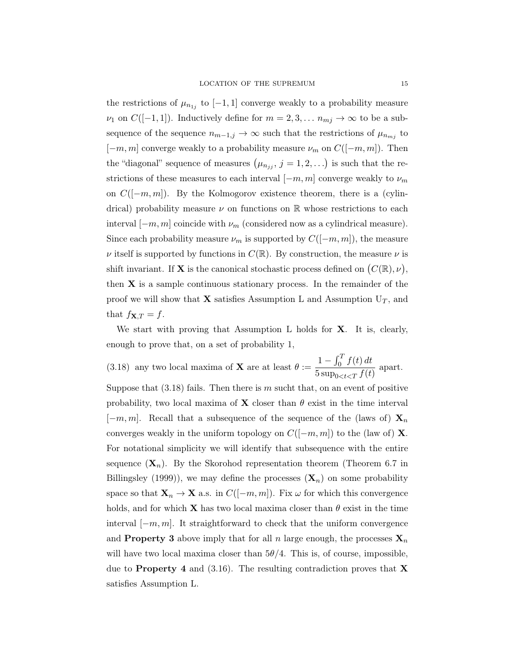the restrictions of  $\mu_{n_{1j}}$  to  $[-1,1]$  converge weakly to a probability measure  $\nu_1$  on  $C([-1, 1])$ . Inductively define for  $m = 2, 3, \ldots n_{mj} \to \infty$  to be a subsequence of the sequence  $n_{m-1,j} \to \infty$  such that the restrictions of  $\mu_{n_{mj}}$  to  $[-m, m]$  converge weakly to a probability measure  $\nu_m$  on  $C([-m, m])$ . Then the "diagonal" sequence of measures  $(\mu_{n_{jj}}, j = 1, 2, ...)$  is such that the restrictions of these measures to each interval  $[-m, m]$  converge weakly to  $\nu_m$ on  $C([-m, m])$ . By the Kolmogorov existence theorem, there is a (cylindrical) probability measure  $\nu$  on functions on  $\mathbb R$  whose restrictions to each interval  $[-m, m]$  coincide with  $\nu_m$  (considered now as a cylindrical measure). Since each probability measure  $\nu_m$  is supported by  $C([-m, m])$ , the measure  $\nu$  itself is supported by functions in  $C(\mathbb{R})$ . By construction, the measure  $\nu$  is shift invariant. If **X** is the canonical stochastic process defined on  $(C(\mathbb{R}), \nu)$ , then  $X$  is a sample continuous stationary process. In the remainder of the proof we will show that **X** satisfies Assumption L and Assumption  $U_T$ , and that  $f_{\mathbf{X},T} = f$ .

We start with proving that Assumption L holds for **X**. It is, clearly, enough to prove that, on a set of probability 1,

(3.18) any two local maxima of **X** are at least  $\theta :=$  $1 - \int_0^T f(t) dt$  $\frac{1}{5} \frac{J_0 J_0 e^{j\omega t}}{\sup_{0 \le t \le T} f(t)}$  apart.

Suppose that  $(3.18)$  fails. Then there is m sucht that, on an event of positive probability, two local maxima of **X** closer than  $\theta$  exist in the time interval  $[-m, m]$ . Recall that a subsequence of the sequence of the (laws of)  $\mathbf{X}_n$ converges weakly in the uniform topology on  $C([-m, m])$  to the (law of) **X**. For notational simplicity we will identify that subsequence with the entire sequence  $(\mathbf{X}_n)$ . By the Skorohod representation theorem (Theorem 6.7 in Billingsley (1999)), we may define the processes  $(X_n)$  on some probability space so that  $\mathbf{X}_n \to \mathbf{X}$  a.s. in  $C([-m, m])$ . Fix  $\omega$  for which this convergence holds, and for which **X** has two local maxima closer than  $\theta$  exist in the time interval  $[-m, m]$ . It straightforward to check that the uniform convergence and **Property 3** above imply that for all n large enough, the processes  $\mathbf{X}_n$ will have two local maxima closer than  $5\theta/4$ . This is, of course, impossible, due to **Property** 4 and (3.16). The resulting contradiction proves that **X** satisfies Assumption L.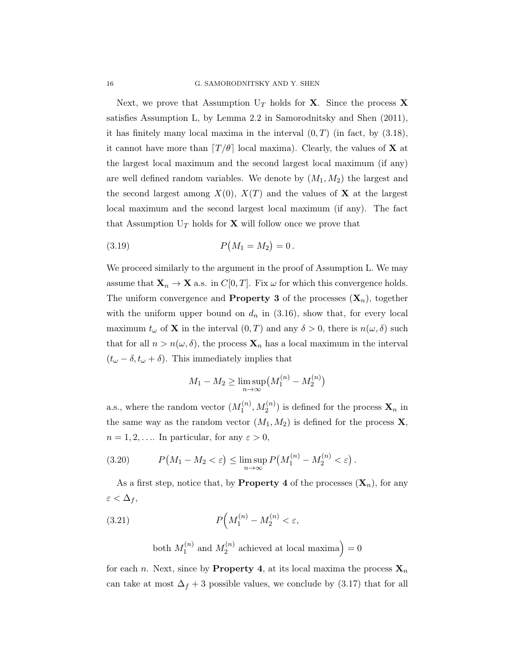Next, we prove that Assumption  $U_T$  holds for **X**. Since the process **X** satisfies Assumption L, by Lemma 2.2 in Samorodnitsky and Shen (2011), it has finitely many local maxima in the interval  $(0, T)$  (in fact, by  $(3.18)$ , it cannot have more than  $\left[T/\theta\right]$  local maxima). Clearly, the values of **X** at the largest local maximum and the second largest local maximum (if any) are well defined random variables. We denote by  $(M_1, M_2)$  the largest and the second largest among  $X(0)$ ,  $X(T)$  and the values of **X** at the largest local maximum and the second largest local maximum (if any). The fact that Assumption  $U_T$  holds for **X** will follow once we prove that

(3.19) 
$$
P(M_1 = M_2) = 0.
$$

We proceed similarly to the argument in the proof of Assumption L. We may assume that  $\mathbf{X}_n \to \mathbf{X}$  a.s. in  $C[0, T]$ . Fix  $\omega$  for which this convergence holds. The uniform convergence and **Property 3** of the processes  $(X_n)$ , together with the uniform upper bound on  $d_n$  in (3.16), show that, for every local maximum  $t_{\omega}$  of **X** in the interval  $(0, T)$  and any  $\delta > 0$ , there is  $n(\omega, \delta)$  such that for all  $n > n(\omega, \delta)$ , the process  $\mathbf{X}_n$  has a local maximum in the interval  $(t_{\omega} - \delta, t_{\omega} + \delta)$ . This immediately implies that

$$
M_1 - M_2 \ge \limsup_{n \to \infty} (M_1^{(n)} - M_2^{(n)})
$$

a.s., where the random vector  $(M_1^{(n)}$  $\mathcal{N}_1^{(n)}, M_2^{(n)}$ ) is defined for the process  $\mathbf{X}_n$  in the same way as the random vector  $(M_1, M_2)$  is defined for the process **X**,  $n = 1, 2, \dots$  In particular, for any  $\varepsilon > 0$ ,

(3.20) 
$$
P(M_1 - M_2 < \varepsilon) \leq \limsup_{n \to \infty} P(M_1^{(n)} - M_2^{(n)} < \varepsilon).
$$

As a first step, notice that, by **Property** 4 of the processes  $(\mathbf{X}_n)$ , for any  $\varepsilon < \Delta_f$ ,

(3.21) 
$$
P\Big(M_1^{(n)} - M_2^{(n)} < \varepsilon,
$$

both  $M_1^{(n)}$  $I_1^{(n)}$  and  $M_2^{(n)}$  $\binom{n}{2}$  achieved at local maxima) = 0

for each n. Next, since by **Property 4**, at its local maxima the process  $\mathbf{X}_n$ can take at most  $\Delta_f + 3$  possible values, we conclude by (3.17) that for all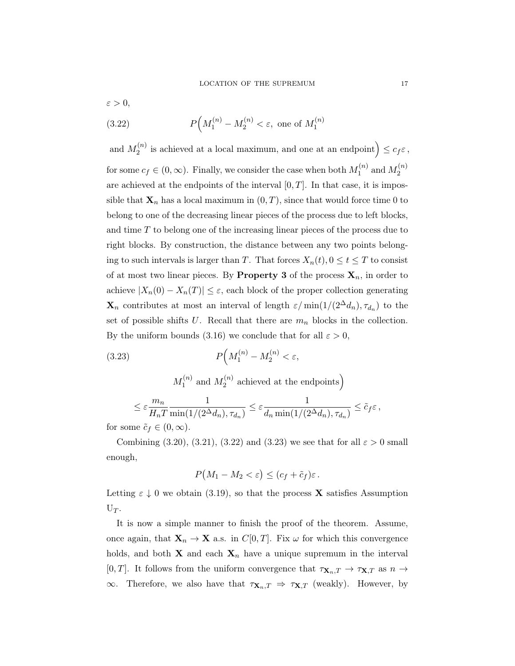$\varepsilon > 0$ ,

(3.22) 
$$
P\Big(M_1^{(n)} - M_2^{(n)} < \varepsilon, \text{ one of } M_1^{(n)}
$$

and  $M_2^{(n)}$  $\mathcal{L}_2^{(n)}$  is achieved at a local maximum, and one at an endpoint  $\Big) \leq c_f \varepsilon$ , for some  $c_f \in (0, \infty)$ . Finally, we consider the case when both  $M_1^{(n)}$  $_1^{(n)}$  and  $M_2^{(n)}$ 2 are achieved at the endpoints of the interval  $[0, T]$ . In that case, it is impossible that  $\mathbf{X}_n$  has a local maximum in  $(0, T)$ , since that would force time 0 to belong to one of the decreasing linear pieces of the process due to left blocks, and time T to belong one of the increasing linear pieces of the process due to right blocks. By construction, the distance between any two points belonging to such intervals is larger than T. That forces  $X_n(t)$ ,  $0 \le t \le T$  to consist of at most two linear pieces. By **Property 3** of the process  $\mathbf{X}_n$ , in order to achieve  $|X_n(0) - X_n(T)| \leq \varepsilon$ , each block of the proper collection generating  $\mathbf{X}_n$  contributes at most an interval of length  $\varepsilon/\min(1/(2^{\Delta}d_n), \tau_{d_n})$  to the set of possible shifts U. Recall that there are  $m_n$  blocks in the collection. By the uniform bounds (3.16) we conclude that for all  $\varepsilon > 0$ ,

(3.23) 
$$
P\Big(M_1^{(n)} - M_2^{(n)} < \varepsilon,
$$

 $M_1^{(n)}$  $I_1^{(n)}$  and  $M_2^{(n)}$  $\mathbf{a}_2^{(n)}$  achieved at the endpoints)

$$
\leq \varepsilon \frac{m_n}{H_nT} \frac{1}{\min(1/(2^{\Delta} d_n), \tau_{d_n})} \leq \varepsilon \frac{1}{d_n \min(1/(2^{\Delta} d_n), \tau_{d_n})} \leq \tilde{c}_f \varepsilon,
$$

for some  $\tilde{c}_f \in (0,\infty)$ .

Combining (3.20), (3.21), (3.22) and (3.23) we see that for all  $\varepsilon > 0$  small enough,

$$
P(M_1 - M_2 < \varepsilon) \le (c_f + \tilde{c}_f)\varepsilon \, .
$$

Letting  $\varepsilon \downarrow 0$  we obtain (3.19), so that the process **X** satisfies Assumption  $U_T$ .

It is now a simple manner to finish the proof of the theorem. Assume, once again, that  $\mathbf{X}_n \to \mathbf{X}$  a.s. in  $C[0,T]$ . Fix  $\omega$  for which this convergence holds, and both **X** and each  $\mathbf{X}_n$  have a unique supremum in the interval [0, T]. It follows from the uniform convergence that  $\tau_{\mathbf{X}_n,T} \to \tau_{\mathbf{X},T}$  as  $n \to$  $\infty$ . Therefore, we also have that  $\tau_{\mathbf{X}_n,T} \Rightarrow \tau_{\mathbf{X},T}$  (weakly). However, by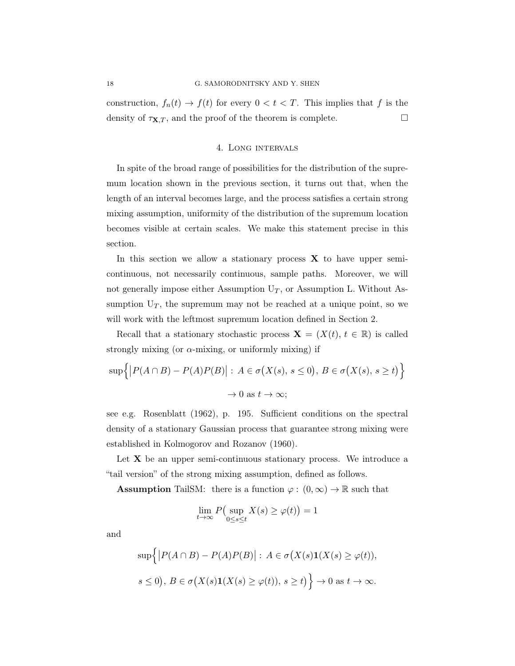construction,  $f_n(t) \to f(t)$  for every  $0 < t < T$ . This implies that f is the density of  $\tau_{\mathbf{X},T}$ , and the proof of the theorem is complete.

## 4. Long intervals

In spite of the broad range of possibilities for the distribution of the supremum location shown in the previous section, it turns out that, when the length of an interval becomes large, and the process satisfies a certain strong mixing assumption, uniformity of the distribution of the supremum location becomes visible at certain scales. We make this statement precise in this section.

In this section we allow a stationary process  $X$  to have upper semicontinuous, not necessarily continuous, sample paths. Moreover, we will not generally impose either Assumption  $U_T$ , or Assumption L. Without Assumption  $U_T$ , the supremum may not be reached at a unique point, so we will work with the leftmost supremum location defined in Section 2.

Recall that a stationary stochastic process  $\mathbf{X} = (X(t), t \in \mathbb{R})$  is called strongly mixing (or  $\alpha$ -mixing, or uniformly mixing) if

$$
\sup\{|P(A \cap B) - P(A)P(B)| : A \in \sigma(X(s), s \le 0), B \in \sigma(X(s), s \ge t)\}\
$$
  

$$
\to 0 \text{ as } t \to \infty;
$$

see e.g. Rosenblatt (1962), p. 195. Sufficient conditions on the spectral density of a stationary Gaussian process that guarantee strong mixing were established in Kolmogorov and Rozanov (1960).

Let  $X$  be an upper semi-continuous stationary process. We introduce a "tail version" of the strong mixing assumption, defined as follows.

**Assumption** TailSM: there is a function  $\varphi : (0, \infty) \to \mathbb{R}$  such that

$$
\lim_{t \to \infty} P\left(\sup_{0 \le s \le t} X(s) \ge \varphi(t)\right) = 1
$$

and

$$
\sup\{|P(A \cap B) - P(A)P(B)| : A \in \sigma(X(s)\mathbf{1}(X(s) \ge \varphi(t)),
$$
  

$$
s \le 0), B \in \sigma(X(s)\mathbf{1}(X(s) \ge \varphi(t)), s \ge t)\}\to 0 \text{ as } t \to \infty.
$$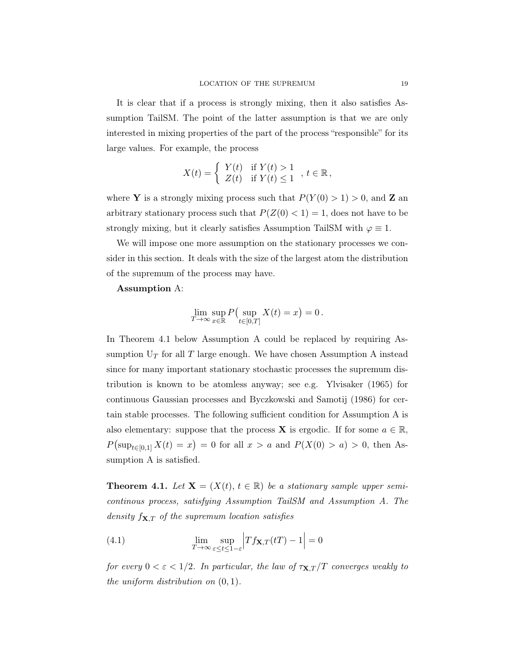It is clear that if a process is strongly mixing, then it also satisfies Assumption TailSM. The point of the latter assumption is that we are only interested in mixing properties of the part of the process "responsible" for its large values. For example, the process

$$
X(t) = \begin{cases} Y(t) & \text{if } Y(t) > 1 \\ Z(t) & \text{if } Y(t) \le 1 \end{cases}, t \in \mathbb{R},
$$

where **Y** is a strongly mixing process such that  $P(Y(0) > 1) > 0$ , and **Z** an arbitrary stationary process such that  $P(Z(0) < 1) = 1$ , does not have to be strongly mixing, but it clearly satisfies Assumption TailSM with  $\varphi \equiv 1$ .

We will impose one more assumption on the stationary processes we consider in this section. It deals with the size of the largest atom the distribution of the supremum of the process may have.

## Assumption A:

$$
\lim_{T \to \infty} \sup_{x \in \mathbb{R}} P\left(\sup_{t \in [0,T]} X(t) = x\right) = 0.
$$

In Theorem 4.1 below Assumption A could be replaced by requiring Assumption  $U_T$  for all  $T$  large enough. We have chosen Assumption A instead since for many important stationary stochastic processes the supremum distribution is known to be atomless anyway; see e.g. Ylvisaker (1965) for continuous Gaussian processes and Byczkowski and Samotij (1986) for certain stable processes. The following sufficient condition for Assumption A is also elementary: suppose that the process **X** is ergodic. If for some  $a \in \mathbb{R}$ ,  $P(\sup_{t\in[0,1]} X(t) = x) = 0$  for all  $x > a$  and  $P(X(0) > a) > 0$ , then Assumption A is satisfied.

**Theorem 4.1.** Let  $X = (X(t), t \in \mathbb{R})$  be a stationary sample upper semicontinous process, satisfying Assumption TailSM and Assumption A. The density  $f_{\mathbf{X},T}$  of the supremum location satisfies

(4.1) 
$$
\lim_{T \to \infty} \sup_{\varepsilon \le t \le 1-\varepsilon} \left| Tf_{\mathbf{X},T}(tT) - 1 \right| = 0
$$

for every  $0 < \varepsilon < 1/2$ . In particular, the law of  $\tau_{\mathbf{X},T}/T$  converges weakly to the uniform distribution on (0, 1).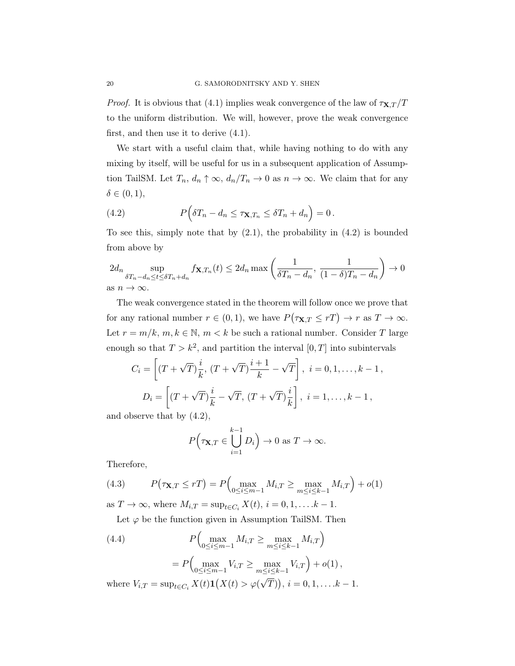*Proof.* It is obvious that (4.1) implies weak convergence of the law of  $\tau_{\mathbf{X},T}/T$ to the uniform distribution. We will, however, prove the weak convergence first, and then use it to derive (4.1).

We start with a useful claim that, while having nothing to do with any mixing by itself, will be useful for us in a subsequent application of Assumption TailSM. Let  $T_n$ ,  $d_n \uparrow \infty$ ,  $d_n/T_n \to 0$  as  $n \to \infty$ . We claim that for any  $\delta \in (0,1),$ 

(4.2) 
$$
P\Big(\delta T_n - d_n \leq \tau_{\mathbf{X},T_n} \leq \delta T_n + d_n\Big) = 0.
$$

To see this, simply note that by  $(2.1)$ , the probability in  $(4.2)$  is bounded from above by

$$
2d_n \sup_{\delta T_n - d_n \le t \le \delta T_n + d_n} f_{\mathbf{X}, T_n}(t) \le 2d_n \max\left(\frac{1}{\delta T_n - d_n}, \frac{1}{(1 - \delta)T_n - d_n}\right) \to 0
$$
  
as  $n \to \infty$ .

The weak convergence stated in the theorem will follow once we prove that for any rational number  $r \in (0,1)$ , we have  $P(\tau_{\mathbf{X},T} \leq rT) \to r$  as  $T \to \infty$ . Let  $r = m/k$ ,  $m, k \in \mathbb{N}$ ,  $m < k$  be such a rational number. Consider T large enough so that  $T > k^2$ , and partition the interval  $[0, T]$  into subintervals

$$
C_i = \left[ (T + \sqrt{T})\frac{i}{k}, (T + \sqrt{T})\frac{i+1}{k} - \sqrt{T} \right], i = 0, 1, \dots, k-1,
$$
  

$$
D_i = \left[ (T + \sqrt{T})\frac{i}{k} - \sqrt{T}, (T + \sqrt{T})\frac{i}{k} \right], i = 1, \dots, k-1,
$$

and observe that by (4.2),

$$
P\Big(\tau \mathbf{x} , T \in \bigcup_{i=1}^{k-1} D_i\Big) \to 0 \text{ as } T \to \infty.
$$

Therefore,

(4.3) 
$$
P(\tau_{\mathbf{X},T} \leq rT) = P\Big(\max_{0 \leq i \leq m-1} M_{i,T} \geq \max_{m \leq i \leq k-1} M_{i,T}\Big) + o(1)
$$

as  $T \to \infty$ , where  $M_{i,T} = \sup_{t \in C_i} X(t)$ ,  $i = 0, 1, \ldots k - 1$ .

Let  $\varphi$  be the function given in Assumption TailSM. Then

(4.4) 
$$
P\Big(\max_{0 \le i \le m-1} M_{i,T} \ge \max_{m \le i \le k-1} M_{i,T}\Big) = P\Big(\max_{0 \le i \le m-1} V_{i,T} \ge \max_{m \le i \le k-1} V_{i,T}\Big) + o(1),
$$

where  $V_{i,T} = \sup_{t \in C_i} X(t) \mathbf{1}(X(t) > \varphi)$ √  $(\overline{T})), i = 0, 1, \ldots .k - 1.$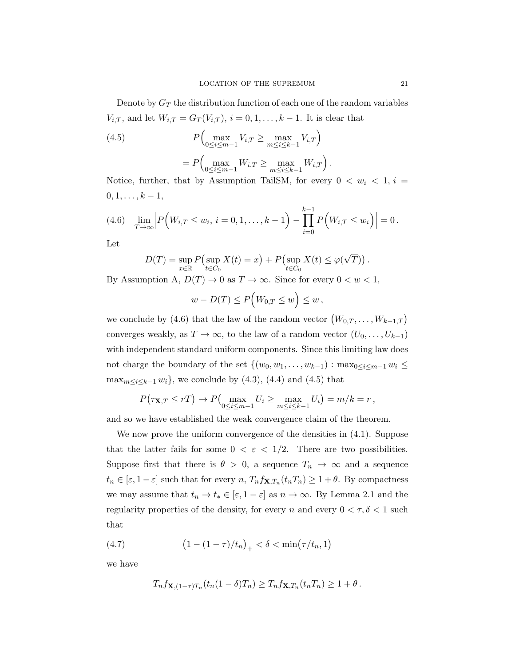Denote by  $G_T$  the distribution function of each one of the random variables  $V_{i,T}$ , and let  $W_{i,T} = G_T(V_{i,T})$ ,  $i = 0, 1, ..., k - 1$ . It is clear that

(4.5) 
$$
P\left(\max_{0 \le i \le m-1} V_{i,T} \ge \max_{m \le i \le k-1} V_{i,T}\right) = P\left(\max_{0 \le i \le m-1} W_{i,T} \ge \max_{m \le i \le k-1} W_{i,T}\right).
$$

Notice, further, that by Assumption TailSM, for every  $0 < w_i < 1, i =$  $0, 1, \ldots, k-1,$ 

$$
(4.6) \quad \lim_{T \to \infty} \left| P\left(W_{i,T} \leq w_i, \, i = 0,1,\ldots,k-1\right) - \prod_{i=0}^{k-1} P\left(W_{i,T} \leq w_i\right) \right| = 0 \, .
$$

Let

$$
D(T) = \sup_{x \in \mathbb{R}} P\left(\sup_{t \in C_0} X(t) = x\right) + P\left(\sup_{t \in C_0} X(t) \leq \varphi(\sqrt{T})\right).
$$

By Assumption A,  $D(T) \to 0$  as  $T \to \infty$ . Since for every  $0 < w < 1$ ,

$$
w - D(T) \le P\Big(W_{0,T} \le w\Big) \le w\,,
$$

we conclude by (4.6) that the law of the random vector  $(W_{0,T},...,W_{k-1,T})$ converges weakly, as  $T \to \infty$ , to the law of a random vector  $(U_0, \ldots, U_{k-1})$ with independent standard uniform components. Since this limiting law does not charge the boundary of the set  $\{(w_0, w_1, \ldots, w_{k-1}) : \max_{0 \leq i \leq m-1} w_i \leq$  $\max_{m \le i \le k-1} w_i$ , we conclude by (4.3), (4.4) and (4.5) that

$$
P(\tau_{\mathbf{X},T} \leq rT) \to P\left(\max_{0 \leq i \leq m-1} U_i \geq \max_{m \leq i \leq k-1} U_i\right) = m/k = r,
$$

and so we have established the weak convergence claim of the theorem.

We now prove the uniform convergence of the densities in (4.1). Suppose that the latter fails for some  $0 < \varepsilon < 1/2$ . There are two possibilities. Suppose first that there is  $\theta > 0$ , a sequence  $T_n \to \infty$  and a sequence  $t_n \in [\varepsilon, 1-\varepsilon]$  such that for every  $n, T_n f_{\mathbf{X},T_n}(t_n,T_n) \geq 1+\theta$ . By compactness we may assume that  $t_n \to t_* \in [\varepsilon, 1 - \varepsilon]$  as  $n \to \infty$ . By Lemma 2.1 and the regularity properties of the density, for every  $n$  and every  $0 < \tau, \delta < 1$  such that

(4.7) 
$$
(1 - (1 - \tau)/t_n)_+ < \delta < \min(\tau/t_n, 1)
$$

we have

$$
T_n f_{\mathbf{X},(1-\tau)T_n}(t_n(1-\delta)T_n) \geq T_n f_{\mathbf{X},T_n}(t_nT_n) \geq 1+\theta.
$$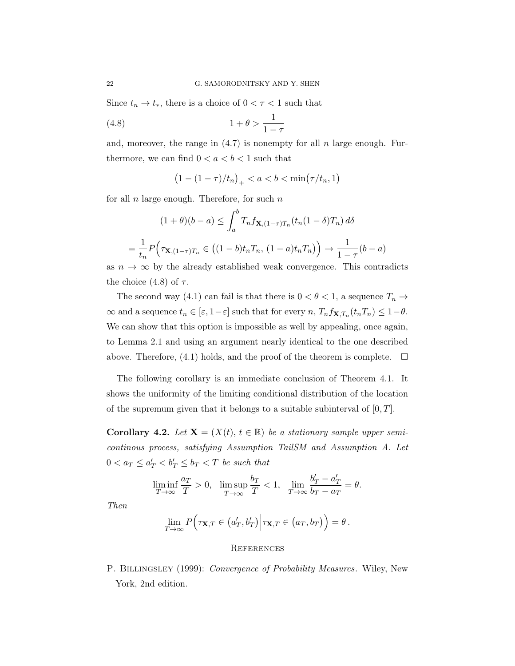Since  $t_n \to t_*$ , there is a choice of  $0 < \tau < 1$  such that

$$
(4.8)\qquad \qquad 1+\theta > \frac{1}{1-\tau}
$$

and, moreover, the range in  $(4.7)$  is nonempty for all n large enough. Furthermore, we can find  $0 < a < b < 1$  such that

$$
(1 - (1 - \tau)/t_n)_+ < a < b < \min(\tau/t_n, 1)
$$

for all  $n$  large enough. Therefore, for such  $n$ 

$$
(1+\theta)(b-a) \le \int_a^b T_n f_{\mathbf{X},(1-\tau)T_n}(t_n(1-\delta)T_n) d\delta
$$
  
=  $\frac{1}{t_n} P\Big(\tau_{\mathbf{X},(1-\tau)T_n} \in \big((1-b)t_nT_n, (1-a)t_nT_n\big)\Big) \to \frac{1}{1-\tau}(b-a)$ 

as  $n \to \infty$  by the already established weak convergence. This contradicts the choice (4.8) of  $\tau$ .

The second way (4.1) can fail is that there is  $0 < \theta < 1$ , a sequence  $T_n \to$  $\infty$  and a sequence  $t_n \in [\varepsilon, 1-\varepsilon]$  such that for every  $n, T_n f_{\mathbf{X},T_n}(t_n, T_n) \leq 1-\theta$ . We can show that this option is impossible as well by appealing, once again, to Lemma 2.1 and using an argument nearly identical to the one described above. Therefore, (4.1) holds, and the proof of the theorem is complete.  $\Box$ 

The following corollary is an immediate conclusion of Theorem 4.1. It shows the uniformity of the limiting conditional distribution of the location of the supremum given that it belongs to a suitable subinterval of  $[0, T]$ .

Corollary 4.2. Let  $X = (X(t), t \in \mathbb{R})$  be a stationary sample upper semicontinous process, satisfying Assumption TailSM and Assumption A. Let  $0 < a_T \leq a'_T < b'_T \leq b_T < T$  be such that

$$
\liminf_{T\to\infty}\frac{a_T}{T}>0,\ \ \limsup_{T\to\infty}\frac{b_T}{T}<1,\ \ \lim_{T\to\infty}\frac{b'_T-a'_T}{b_T-a_T}=\theta.
$$

Then

$$
\lim_{T\to\infty} P\Big(\tau_{\mathbf{X},T}\in\big(a'_T,b'_T\big)\Big|\tau_{\mathbf{X},T}\in\big(a_T,b_T\big)\Big)=\theta\,.
$$

## **REFERENCES**

P. BILLINGSLEY (1999): Convergence of Probability Measures. Wiley, New York, 2nd edition.